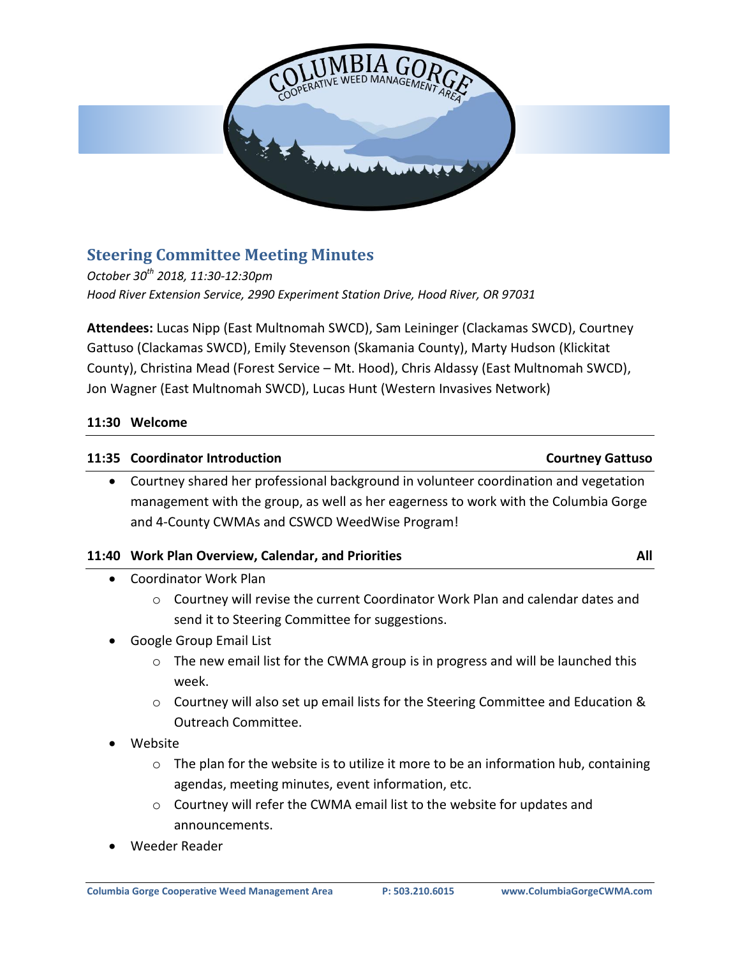

# **Steering Committee Meeting Minutes**

*October 30th 2018, 11:30-12:30pm Hood River Extension Service, 2990 Experiment Station Drive, Hood River, OR 97031*

**Attendees:** Lucas Nipp (East Multnomah SWCD), Sam Leininger (Clackamas SWCD), Courtney Gattuso (Clackamas SWCD), Emily Stevenson (Skamania County), Marty Hudson (Klickitat County), Christina Mead (Forest Service – Mt. Hood), Chris Aldassy (East Multnomah SWCD), Jon Wagner (East Multnomah SWCD), Lucas Hunt (Western Invasives Network)

### **11:30 Welcome**

#### **11:35 Coordinator Introduction Courtney Gattuso**

 Courtney shared her professional background in volunteer coordination and vegetation management with the group, as well as her eagerness to work with the Columbia Gorge and 4-County CWMAs and CSWCD WeedWise Program!

### **11:40 Work Plan Overview, Calendar, and Priorities All**

- Coordinator Work Plan
	- o Courtney will revise the current Coordinator Work Plan and calendar dates and send it to Steering Committee for suggestions.
- Google Group Email List
	- $\circ$  The new email list for the CWMA group is in progress and will be launched this week.
	- $\circ$  Courtney will also set up email lists for the Steering Committee and Education & Outreach Committee.
- Website
	- o The plan for the website is to utilize it more to be an information hub, containing agendas, meeting minutes, event information, etc.
	- o Courtney will refer the CWMA email list to the website for updates and announcements.
- Weeder Reader